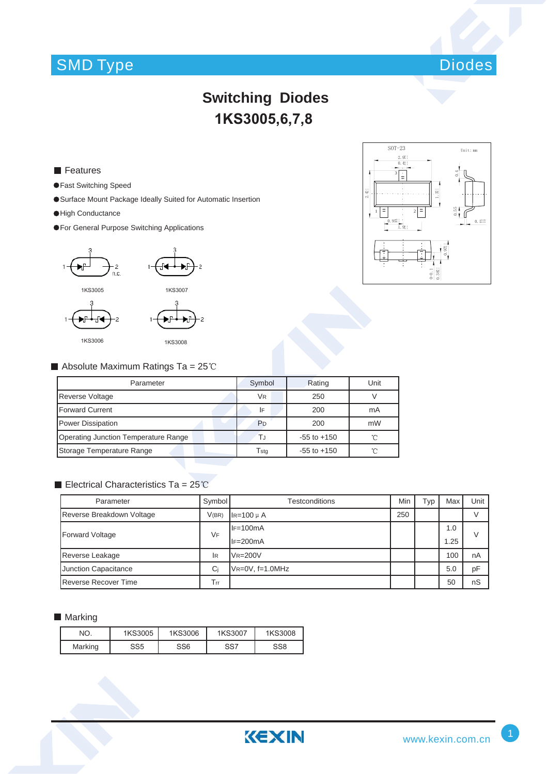# SMD Type Diodes



## **Switching Diodes** 1KS3005,6,7,8

#### **Features**

- Fast Switching Speed
- Surface Mount Package Ideally Suited for Automatic Insertion
- High Conductance
- For General Purpose Switching Applications





#### Absolute Maximum Ratings Ta =  $25^{\circ}$ C

| Parameter                            | Symbol                | Rating          | Unit |
|--------------------------------------|-----------------------|-----------------|------|
| <b>Reverse Voltage</b>               | <b>V<sub>R</sub></b>  | 250             |      |
| <b>Forward Current</b>               | I۴                    | 200             | mA   |
| <b>Power Dissipation</b>             | <b>P</b> <sub>D</sub> | 200             | mW   |
| Operating Junction Temperature Range | T.J                   | $-55$ to $+150$ | 'n   |
| Storage Temperature Range            | Tsta                  | $-55$ to $+150$ | ิ์∩  |

### Electrical Characteristics Ta =  $25^{\circ}$ C

| Parameter                   | Symbol <sup>1</sup> | Testconditions     |     | Гур | Max  | Unit |
|-----------------------------|---------------------|--------------------|-----|-----|------|------|
| Reverse Breakdown Voltage   | V(BR)               | $I$ R=100 $\mu$ A  | 250 |     |      |      |
| <b>Forward Voltage</b>      | VF                  | $IF=100mA$         |     |     | 1.0  | V    |
|                             |                     | $IF=200mA$         |     |     | 1.25 |      |
| Reverse Leakage             | lr                  | $VR = 200V$        |     |     | 100  | nA   |
| Junction Capacitance        | Ci                  | $V$ R=0V, f=1.0MHz |     |     | 5.0  | pF   |
| <b>Reverse Recover Time</b> | Trr                 |                    |     |     | 50   | nS   |

### **Marking**

| NO.     | 1KS3005         | 1KS3006 | 1KS3007 | 1KS3008 |
|---------|-----------------|---------|---------|---------|
| Marking | SS <sub>5</sub> | SS6     | SS7     | SS8     |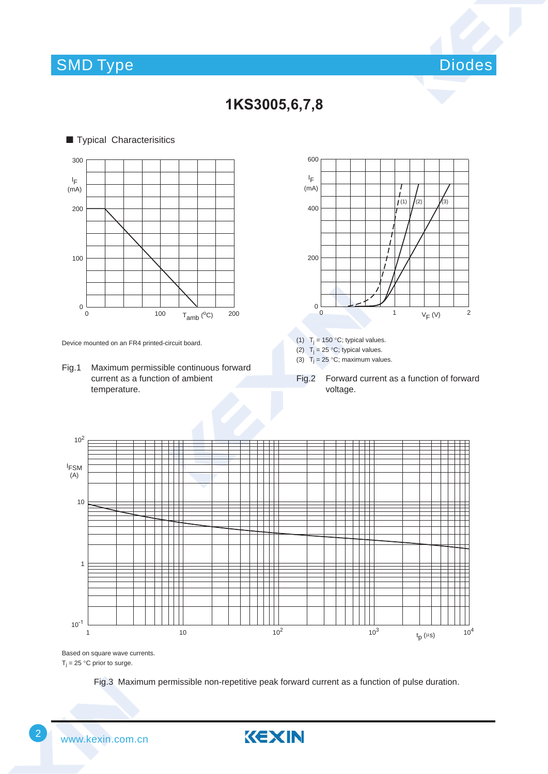### SMD Type







Device mounted on an FR4 printed-circuit board.

Fig.1 Maximum permissible continuous forward current as a function of ambient temperature.



(1)  $T_j = 150 °C$ ; typical values.

(2)  $T_i = 25 \degree C$ ; typical values.

(3)  $T_i = 25$  °C; maximum values.

Fig.2 Forward current as a function of forward voltage.



Based on square wave currents.

 $T_j = 25$  °C prior to surge.

Fig.3 Maximum permissible non-repetitive peak forward current as a function of pulse duration.